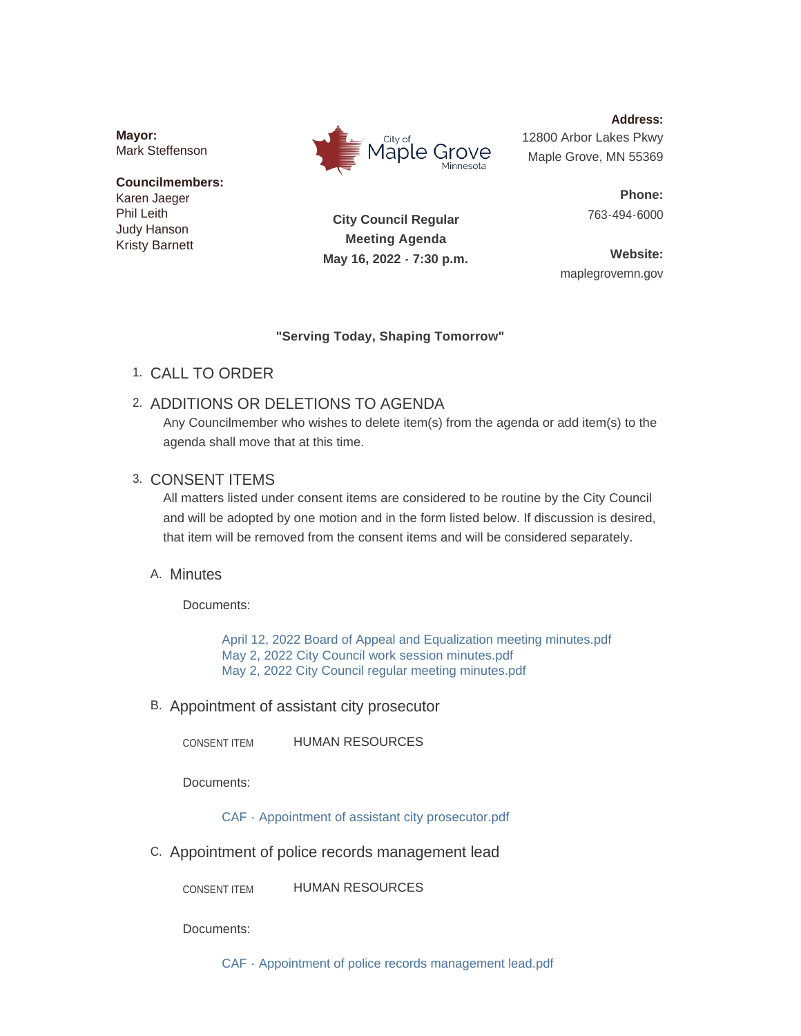**Mayor:** Mark Steffenson

### **Councilmembers:** Karen Jaeger Phil Leith Judy Hanson Kristy Barnett



**Address:** 12800 Arbor Lakes Pkwy Maple Grove, MN 55369

> **Phone:** 763-494-6000

**City Council Regular Meeting Agenda May 16, 2022 - 7:30 p.m.**

**Website:** maplegrovemn.gov

### **"Serving Today, Shaping Tomorrow"**

CALL TO ORDER 1.

# 2. ADDITIONS OR DELETIONS TO AGENDA

Any Councilmember who wishes to delete item(s) from the agenda or add item(s) to the agenda shall move that at this time.

## 3. CONSENT ITEMS

All matters listed under consent items are considered to be routine by the City Council and will be adopted by one motion and in the form listed below. If discussion is desired, that item will be removed from the consent items and will be considered separately.

# A. Minutes

Documents:

[April 12, 2022 Board of Appeal and Equalization meeting minutes.pdf](https://www.maplegrovemn.gov/AgendaCenter/ViewFile/Item/1872?fileID=6734) [May 2, 2022 City Council work session minutes.pdf](https://www.maplegrovemn.gov/AgendaCenter/ViewFile/Item/1872?fileID=6736) [May 2, 2022 City Council regular meeting minutes.pdf](https://www.maplegrovemn.gov/AgendaCenter/ViewFile/Item/1872?fileID=6735)

B. Appointment of assistant city prosecutor

HUMAN RESOURCES CONSENT ITEM

Documents:

[CAF - Appointment of assistant city prosecutor.pdf](https://www.maplegrovemn.gov/AgendaCenter/ViewFile/Item/1868?fileID=6831)

C. Appointment of police records management lead

HUMAN RESOURCES CONSENT ITEM

Documents:

[CAF - Appointment of police records management lead.pdf](https://www.maplegrovemn.gov/AgendaCenter/ViewFile/Item/1935?fileID=6885)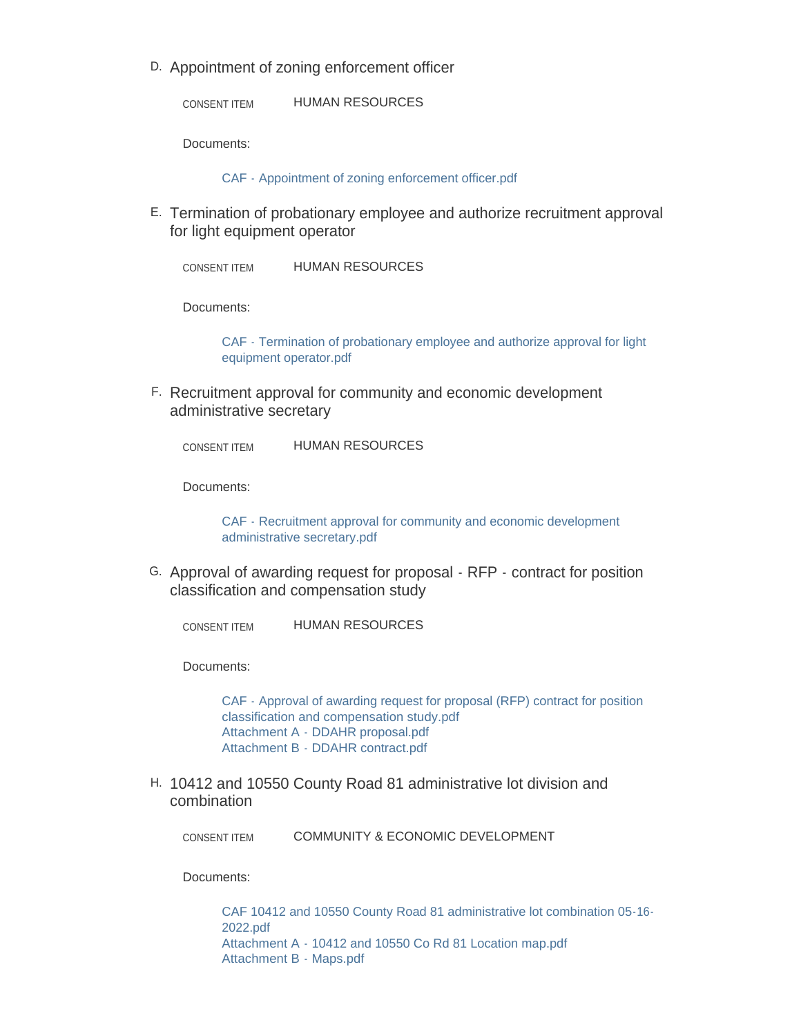D. Appointment of zoning enforcement officer

HUMAN RESOURCES CONSENT ITEM

Documents:

[CAF - Appointment of zoning enforcement officer.pdf](https://www.maplegrovemn.gov/AgendaCenter/ViewFile/Item/1867?fileID=6825)

E. Termination of probationary employee and authorize recruitment approval for light equipment operator

HUMAN RESOURCES CONSENT ITEM

Documents:

[CAF - Termination of probationary employee and authorize approval for light](https://www.maplegrovemn.gov/AgendaCenter/ViewFile/Item/1876?fileID=6938)  equipment operator.pdf

F. Recruitment approval for community and economic development administrative secretary

HUMAN RESOURCES CONSENT ITEM

Documents:

[CAF - Recruitment approval for community and economic development](https://www.maplegrovemn.gov/AgendaCenter/ViewFile/Item/1936?fileID=6897)  administrative secretary.pdf

G. Approval of awarding request for proposal - RFP - contract for position classification and compensation study

HUMAN RESOURCES CONSENT ITEM

Documents:

[CAF - Approval of awarding request for proposal \(RFP\) contract for position](https://www.maplegrovemn.gov/AgendaCenter/ViewFile/Item/1923?fileID=6828)  classification and compensation study.pdf [Attachment A - DDAHR proposal.pdf](https://www.maplegrovemn.gov/AgendaCenter/ViewFile/Item/1923?fileID=6872) [Attachment B - DDAHR contract.pdf](https://www.maplegrovemn.gov/AgendaCenter/ViewFile/Item/1923?fileID=6873)

H. 10412 and 10550 County Road 81 administrative lot division and combination

COMMUNITY & ECONOMIC DEVELOPMENT CONSENT ITEM

Documents:

[CAF 10412 and 10550 County Road 81 administrative lot combination 05-16-](https://www.maplegrovemn.gov/AgendaCenter/ViewFile/Item/1908?fileID=6752) 2022.pdf [Attachment A - 10412 and 10550 Co Rd 81 Location map.pdf](https://www.maplegrovemn.gov/AgendaCenter/ViewFile/Item/1908?fileID=6753) [Attachment B - Maps.pdf](https://www.maplegrovemn.gov/AgendaCenter/ViewFile/Item/1908?fileID=6754)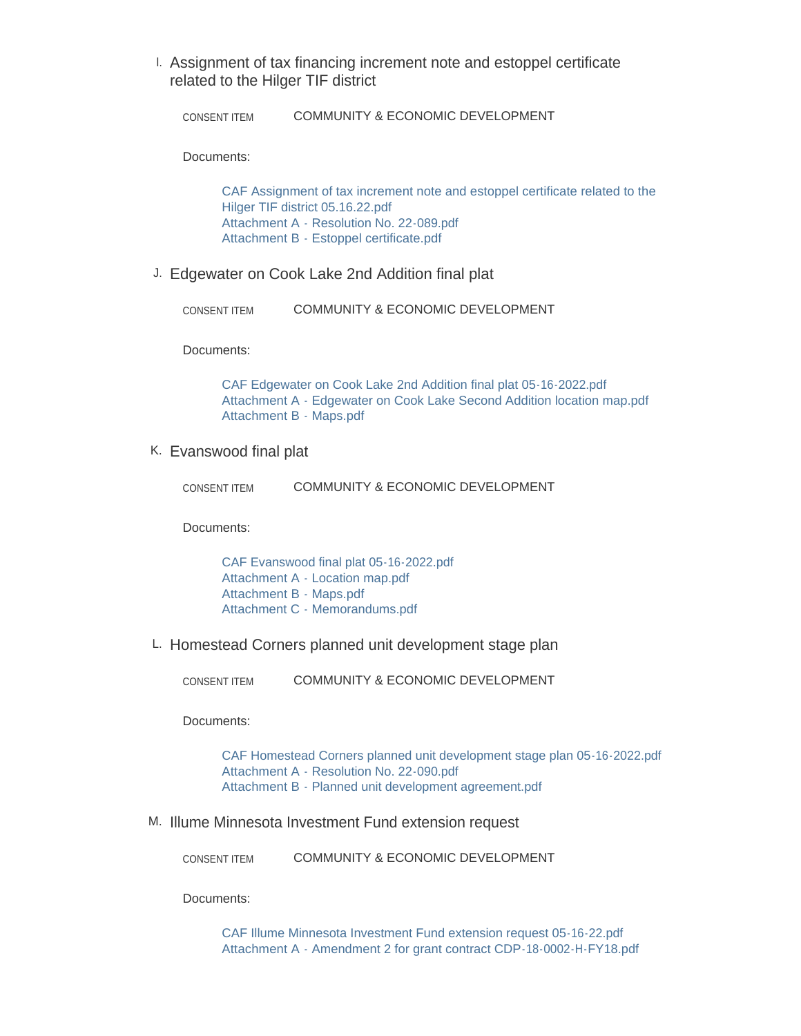Assignment of tax financing increment note and estoppel certificate I. related to the Hilger TIF district

COMMUNITY & ECONOMIC DEVELOPMENT CONSENT ITEM

Documents:

[CAF Assignment of tax increment note and estoppel certificate related to the](https://www.maplegrovemn.gov/AgendaCenter/ViewFile/Item/1916?fileID=6784)  Hilger TIF district 05.16.22.pdf [Attachment A - Resolution No. 22-089.pdf](https://www.maplegrovemn.gov/AgendaCenter/ViewFile/Item/1916?fileID=6782) [Attachment B - Estoppel certificate.pdf](https://www.maplegrovemn.gov/AgendaCenter/ViewFile/Item/1916?fileID=6783)

Edgewater on Cook Lake 2nd Addition final plat J.

COMMUNITY & ECONOMIC DEVELOPMENT CONSENT ITEM

Documents:

[CAF Edgewater on Cook Lake 2nd Addition final plat 05-16-2022.pdf](https://www.maplegrovemn.gov/AgendaCenter/ViewFile/Item/1907?fileID=6751) [Attachment A - Edgewater on Cook Lake Second Addition location map.pdf](https://www.maplegrovemn.gov/AgendaCenter/ViewFile/Item/1907?fileID=6749) [Attachment B - Maps.pdf](https://www.maplegrovemn.gov/AgendaCenter/ViewFile/Item/1907?fileID=6750)

### K. Evanswood final plat

COMMUNITY & ECONOMIC DEVELOPMENT CONSENT ITEM

Documents:

[CAF Evanswood final plat 05-16-2022.pdf](https://www.maplegrovemn.gov/AgendaCenter/ViewFile/Item/1915?fileID=6868) [Attachment A - Location map.pdf](https://www.maplegrovemn.gov/AgendaCenter/ViewFile/Item/1915?fileID=6869) [Attachment B - Maps.pdf](https://www.maplegrovemn.gov/AgendaCenter/ViewFile/Item/1915?fileID=6870) [Attachment C - Memorandums.pdf](https://www.maplegrovemn.gov/AgendaCenter/ViewFile/Item/1915?fileID=6871)

L. Homestead Corners planned unit development stage plan

COMMUNITY & ECONOMIC DEVELOPMENT CONSENT ITEM

Documents:

[CAF Homestead Corners planned unit development stage plan 05-16-2022.pdf](https://www.maplegrovemn.gov/AgendaCenter/ViewFile/Item/1903?fileID=6745) [Attachment A - Resolution No. 22-090.pdf](https://www.maplegrovemn.gov/AgendaCenter/ViewFile/Item/1903?fileID=6746) [Attachment B - Planned unit development agreement.pdf](https://www.maplegrovemn.gov/AgendaCenter/ViewFile/Item/1903?fileID=6747)

M. Illume Minnesota Investment Fund extension request

COMMUNITY & ECONOMIC DEVELOPMENT CONSENT ITEM

Documents:

[CAF Illume Minnesota Investment Fund extension request 05-16-22.pdf](https://www.maplegrovemn.gov/AgendaCenter/ViewFile/Item/1928?fileID=6820) [Attachment A - Amendment 2 for grant contract CDP-18-0002-H-FY18.pdf](https://www.maplegrovemn.gov/AgendaCenter/ViewFile/Item/1928?fileID=6819)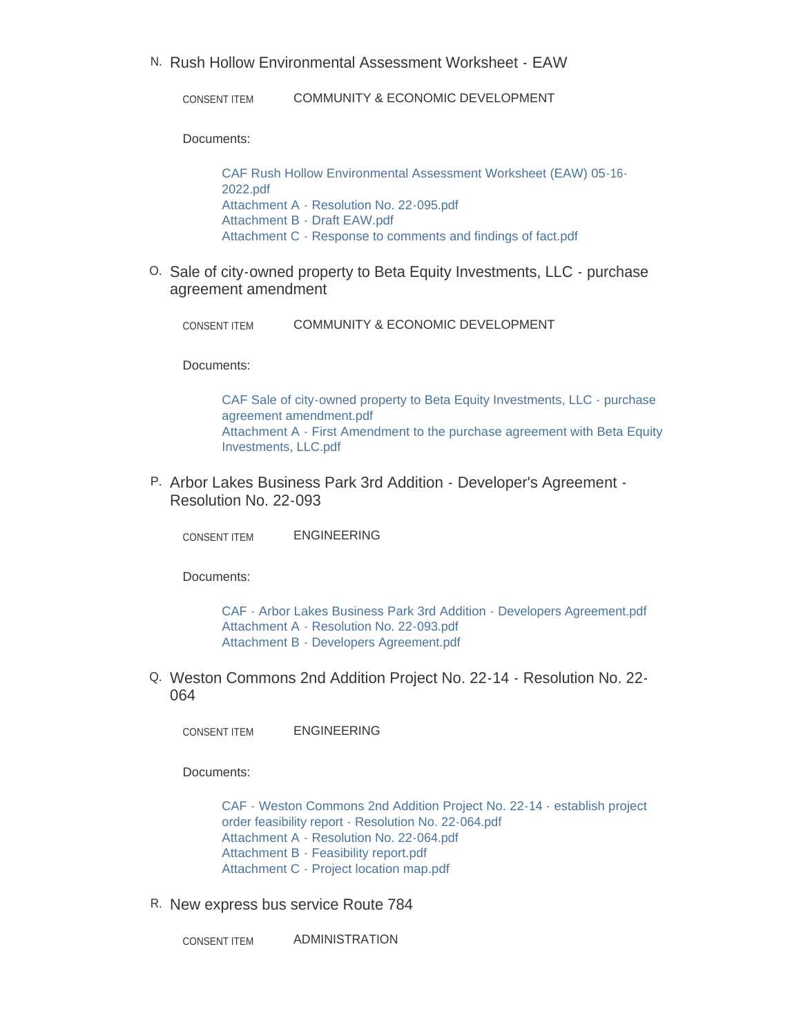N. Rush Hollow Environmental Assessment Worksheet - EAW

COMMUNITY & ECONOMIC DEVELOPMENT CONSENT ITEM

Documents:

[CAF Rush Hollow Environmental Assessment Worksheet \(EAW\) 05-16-](https://www.maplegrovemn.gov/AgendaCenter/ViewFile/Item/1932?fileID=6876) 2022.pdf [Attachment A - Resolution No. 22-095.pdf](https://www.maplegrovemn.gov/AgendaCenter/ViewFile/Item/1932?fileID=6877) [Attachment B - Draft EAW.pdf](https://www.maplegrovemn.gov/AgendaCenter/ViewFile/Item/1932?fileID=6878) [Attachment C - Response to comments and findings of fact.pdf](https://www.maplegrovemn.gov/AgendaCenter/ViewFile/Item/1932?fileID=6879)

0. Sale of city-owned property to Beta Equity Investments, LLC - purchase agreement amendment

COMMUNITY & ECONOMIC DEVELOPMENT CONSENT ITEM

Documents:

[CAF Sale of city-owned property to Beta Equity Investments, LLC - purchase](https://www.maplegrovemn.gov/AgendaCenter/ViewFile/Item/1874?fileID=6739)  agreement amendment.pdf [Attachment A - First Amendment to the purchase agreement with Beta Equity](https://www.maplegrovemn.gov/AgendaCenter/ViewFile/Item/1874?fileID=6807)  Investments, LLC.pdf

P. Arbor Lakes Business Park 3rd Addition - Developer's Agreement -Resolution No. 22-093

ENGINEERING CONSENT ITEM

Documents:

[CAF - Arbor Lakes Business Park 3rd Addition - Developers Agreement.pdf](https://www.maplegrovemn.gov/AgendaCenter/ViewFile/Item/1921?fileID=6801) [Attachment A - Resolution No. 22-093.pdf](https://www.maplegrovemn.gov/AgendaCenter/ViewFile/Item/1921?fileID=6799) [Attachment B - Developers Agreement.pdf](https://www.maplegrovemn.gov/AgendaCenter/ViewFile/Item/1921?fileID=6800)

Weston Commons 2nd Addition Project No. 22-14 - Resolution No. 22- Q. 064

ENGINEERING CONSENT ITEM

Documents:

[CAF - Weston Commons 2nd Addition Project No. 22-14 - establish project](https://www.maplegrovemn.gov/AgendaCenter/ViewFile/Item/1919?fileID=6792)  order feasibility report - Resolution No. 22-064.pdf [Attachment A - Resolution No. 22-064.pdf](https://www.maplegrovemn.gov/AgendaCenter/ViewFile/Item/1919?fileID=6795) [Attachment B - Feasibility report.pdf](https://www.maplegrovemn.gov/AgendaCenter/ViewFile/Item/1919?fileID=6793) [Attachment C - Project location map.pdf](https://www.maplegrovemn.gov/AgendaCenter/ViewFile/Item/1919?fileID=6794)

R. New express bus service Route 784

ADMINISTRATION CONSENT ITEM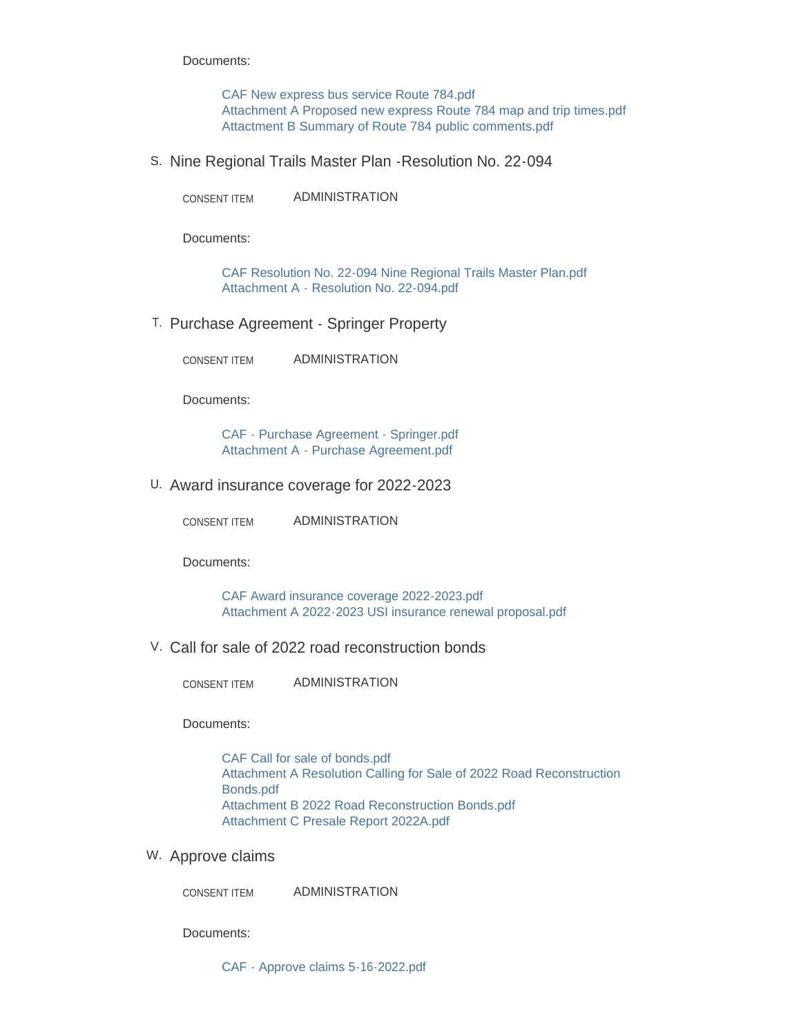Documents:

[CAF New express bus service Route 784.pdf](https://www.maplegrovemn.gov/AgendaCenter/ViewFile/Item/1929?fileID=6821) [Attachment A Proposed new express Route 784 map and trip times.pdf](https://www.maplegrovemn.gov/AgendaCenter/ViewFile/Item/1929?fileID=6822) [Attactment B Summary of Route 784 public comments.pdf](https://www.maplegrovemn.gov/AgendaCenter/ViewFile/Item/1929?fileID=6823)

S. Nine Regional Trails Master Plan - Resolution No. 22-094

ADMINISTRATION CONSENT ITEM

Documents:

[CAF Resolution No. 22-094 Nine Regional Trails Master Plan.pdf](https://www.maplegrovemn.gov/AgendaCenter/ViewFile/Item/1922?fileID=6802) [Attachment A - Resolution No. 22-094.pdf](https://www.maplegrovemn.gov/AgendaCenter/ViewFile/Item/1922?fileID=6803)

T. Purchase Agreement - Springer Property

ADMINISTRATION CONSENT ITEM

Documents:

[CAF - Purchase Agreement - Springer.pdf](https://www.maplegrovemn.gov/AgendaCenter/ViewFile/Item/1924?fileID=6805) [Attachment A - Purchase Agreement.pdf](https://www.maplegrovemn.gov/AgendaCenter/ViewFile/Item/1924?fileID=6806)

U. Award insurance coverage for 2022-2023

ADMINISTRATION CONSENT ITEM

Documents:

[CAF Award insurance coverage 2022-2023.pdf](https://www.maplegrovemn.gov/AgendaCenter/ViewFile/Item/1862?fileID=6700) [Attachment A 2022-2023 USI insurance renewal proposal.pdf](https://www.maplegrovemn.gov/AgendaCenter/ViewFile/Item/1862?fileID=6701)

V. Call for sale of 2022 road reconstruction bonds

ADMINISTRATION CONSENT ITEM

Documents:

[CAF Call for sale of bonds.pdf](https://www.maplegrovemn.gov/AgendaCenter/ViewFile/Item/1914?fileID=6759) [Attachment A Resolution Calling for Sale of 2022 Road Reconstruction](https://www.maplegrovemn.gov/AgendaCenter/ViewFile/Item/1914?fileID=6762)  Bonds.pdf [Attachment B 2022 Road Reconstruction Bonds.pdf](https://www.maplegrovemn.gov/AgendaCenter/ViewFile/Item/1914?fileID=6760) [Attachment C Presale Report 2022A.pdf](https://www.maplegrovemn.gov/AgendaCenter/ViewFile/Item/1914?fileID=6761)

W. Approve claims

ADMINISTRATION CONSENT ITEM

Documents:

[CAF - Approve claims 5-16-2022.pdf](https://www.maplegrovemn.gov/AgendaCenter/ViewFile/Item/1926?fileID=6812)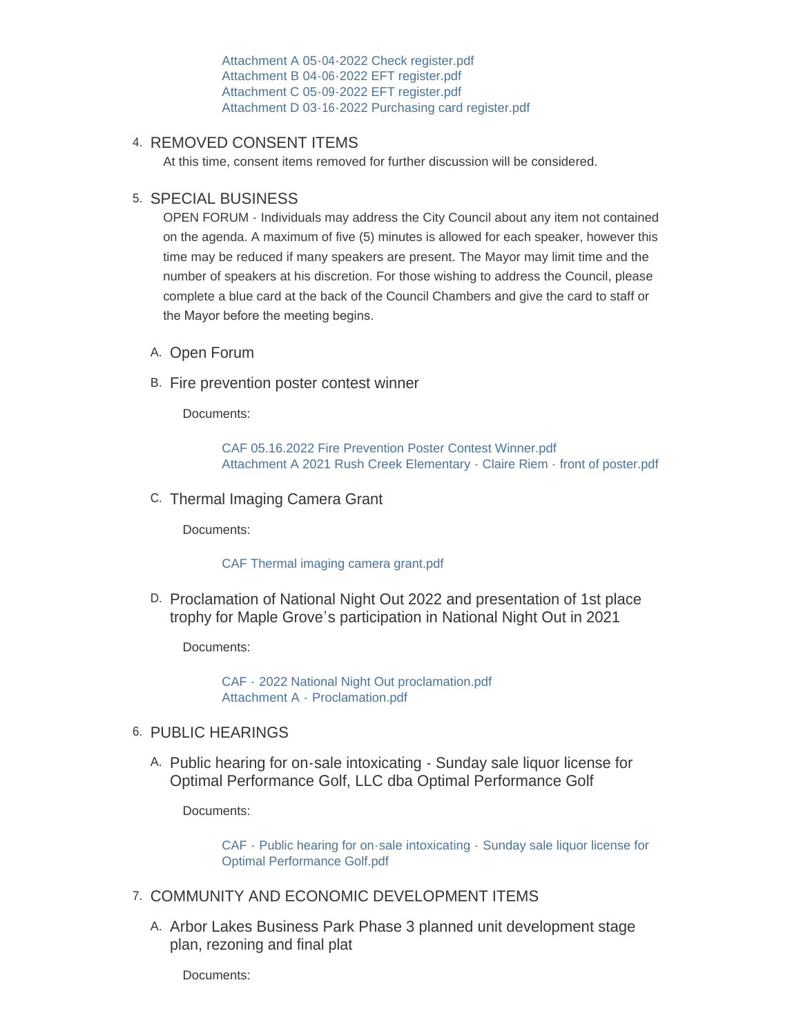[Attachment A 05-04-2022 Check register.pdf](https://www.maplegrovemn.gov/AgendaCenter/ViewFile/Item/1926?fileID=6815) [Attachment B 04-06-2022 EFT register.pdf](https://www.maplegrovemn.gov/AgendaCenter/ViewFile/Item/1926?fileID=6816) [Attachment C 05-09-2022 EFT register.pdf](https://www.maplegrovemn.gov/AgendaCenter/ViewFile/Item/1926?fileID=6813) [Attachment D 03-16-2022 Purchasing card register.pdf](https://www.maplegrovemn.gov/AgendaCenter/ViewFile/Item/1926?fileID=6814)

## 4. REMOVED CONSENT ITEMS

At this time, consent items removed for further discussion will be considered.

## 5. SPECIAL BUSINESS

OPEN FORUM - Individuals may address the City Council about any item not contained on the agenda. A maximum of five (5) minutes is allowed for each speaker, however this time may be reduced if many speakers are present. The Mayor may limit time and the number of speakers at his discretion. For those wishing to address the Council, please complete a blue card at the back of the Council Chambers and give the card to staff or the Mayor before the meeting begins.

- A. Open Forum
- B. Fire prevention poster contest winner

Documents:

[CAF 05.16.2022 Fire Prevention Poster Contest Winner.pdf](https://www.maplegrovemn.gov/AgendaCenter/ViewFile/Item/1866?fileID=6725) [Attachment A 2021 Rush Creek Elementary - Claire Riem - front of poster.pdf](https://www.maplegrovemn.gov/AgendaCenter/ViewFile/Item/1866?fileID=6726)

C. Thermal Imaging Camera Grant

Documents:

#### [CAF Thermal imaging camera grant.pdf](https://www.maplegrovemn.gov/AgendaCenter/ViewFile/Item/1870?fileID=6887)

D. Proclamation of National Night Out 2022 and presentation of 1st place trophy for Maple Grove's participation in National Night Out in 2021

Documents:

CAF - [2022 National Night Out proclamation.pdf](https://www.maplegrovemn.gov/AgendaCenter/ViewFile/Item/1930?fileID=6826) Attachment A - [Proclamation.pdf](https://www.maplegrovemn.gov/AgendaCenter/ViewFile/Item/1930?fileID=6827)

## 6. PUBLIC HEARINGS

A. Public hearing for on-sale intoxicating - Sunday sale liquor license for Optimal Performance Golf, LLC dba Optimal Performance Golf

Documents:

CAF - [Public hearing for on-sale intoxicating -](https://www.maplegrovemn.gov/AgendaCenter/ViewFile/Item/1873?fileID=6924) Sunday sale liquor license for Optimal Performance Golf.pdf

- 7. COMMUNITY AND ECONOMIC DEVELOPMENT ITEMS
	- A. Arbor Lakes Business Park Phase 3 planned unit development stage plan, rezoning and final plat

Documents: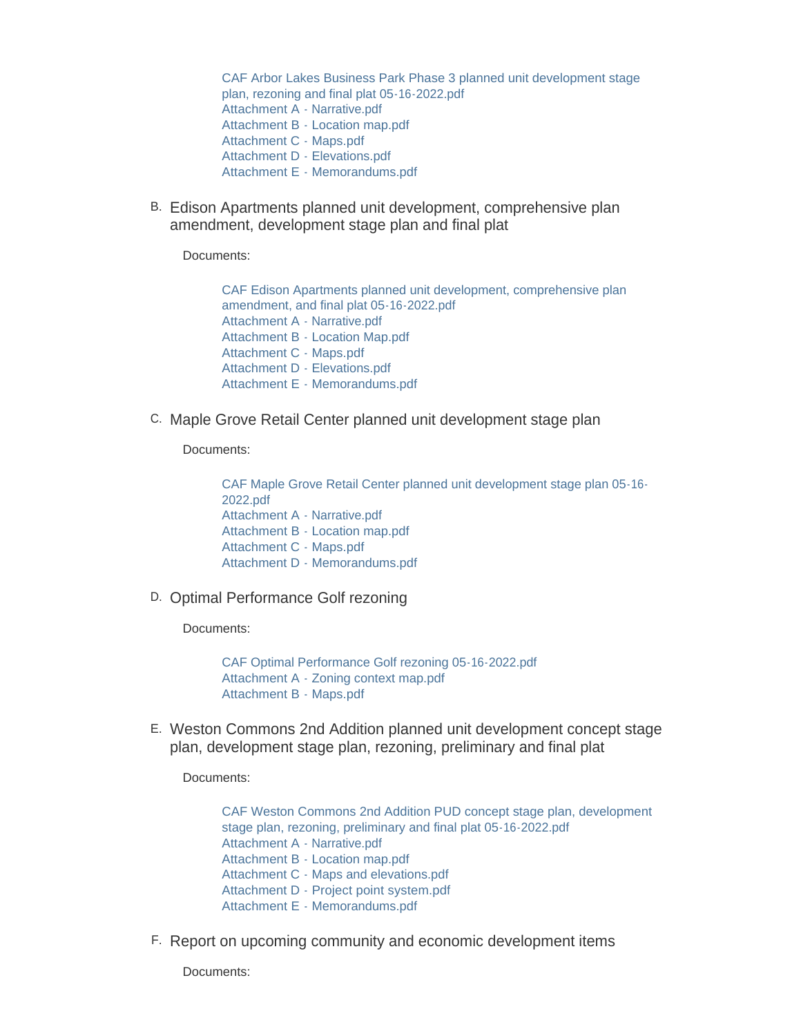[CAF Arbor Lakes Business Park Phase 3 planned unit development stage](https://www.maplegrovemn.gov/AgendaCenter/ViewFile/Item/1912?fileID=6776)  plan, rezoning and final plat 05-16-2022.pdf [Attachment A - Narrative.pdf](https://www.maplegrovemn.gov/AgendaCenter/ViewFile/Item/1912?fileID=6777) [Attachment B - Location map.pdf](https://www.maplegrovemn.gov/AgendaCenter/ViewFile/Item/1912?fileID=6778) [Attachment C - Maps.pdf](https://www.maplegrovemn.gov/AgendaCenter/ViewFile/Item/1912?fileID=6779) [Attachment D - Elevations.pdf](https://www.maplegrovemn.gov/AgendaCenter/ViewFile/Item/1912?fileID=6780) [Attachment E - Memorandums.pdf](https://www.maplegrovemn.gov/AgendaCenter/ViewFile/Item/1912?fileID=6781)

B. Edison Apartments planned unit development, comprehensive plan amendment, development stage plan and final plat

Documents:

[CAF Edison Apartments planned unit development, comprehensive plan](https://www.maplegrovemn.gov/AgendaCenter/ViewFile/Item/1911?fileID=6769)  amendment, and final plat 05-16-2022.pdf [Attachment A - Narrative.pdf](https://www.maplegrovemn.gov/AgendaCenter/ViewFile/Item/1911?fileID=6770) [Attachment B - Location Map.pdf](https://www.maplegrovemn.gov/AgendaCenter/ViewFile/Item/1911?fileID=6771) [Attachment C - Maps.pdf](https://www.maplegrovemn.gov/AgendaCenter/ViewFile/Item/1911?fileID=6772) [Attachment D - Elevations.pdf](https://www.maplegrovemn.gov/AgendaCenter/ViewFile/Item/1911?fileID=6773) [Attachment E - Memorandums.pdf](https://www.maplegrovemn.gov/AgendaCenter/ViewFile/Item/1911?fileID=6774)

C. Maple Grove Retail Center planned unit development stage plan

Documents:

[CAF Maple Grove Retail Center planned unit development stage plan 05-16-](https://www.maplegrovemn.gov/AgendaCenter/ViewFile/Item/1875?fileID=6740) 2022.pdf [Attachment A - Narrative.pdf](https://www.maplegrovemn.gov/AgendaCenter/ViewFile/Item/1875?fileID=6741) [Attachment B - Location map.pdf](https://www.maplegrovemn.gov/AgendaCenter/ViewFile/Item/1875?fileID=6742) [Attachment C - Maps.pdf](https://www.maplegrovemn.gov/AgendaCenter/ViewFile/Item/1875?fileID=6743) [Attachment D - Memorandums.pdf](https://www.maplegrovemn.gov/AgendaCenter/ViewFile/Item/1875?fileID=6744)

D. Optimal Performance Golf rezoning

Documents:

[CAF Optimal Performance Golf rezoning 05-16-2022.pdf](https://www.maplegrovemn.gov/AgendaCenter/ViewFile/Item/1909?fileID=6756) [Attachment A - Zoning context map.pdf](https://www.maplegrovemn.gov/AgendaCenter/ViewFile/Item/1909?fileID=6757) [Attachment B - Maps.pdf](https://www.maplegrovemn.gov/AgendaCenter/ViewFile/Item/1909?fileID=6758)

Weston Commons 2nd Addition planned unit development concept stage E. plan, development stage plan, rezoning, preliminary and final plat

Documents:

[CAF Weston Commons 2nd Addition PUD concept stage plan, development](https://www.maplegrovemn.gov/AgendaCenter/ViewFile/Item/1910?fileID=6763)  stage plan, rezoning, preliminary and final plat 05-16-2022.pdf [Attachment A - Narrative.pdf](https://www.maplegrovemn.gov/AgendaCenter/ViewFile/Item/1910?fileID=6764) [Attachment B - Location map.pdf](https://www.maplegrovemn.gov/AgendaCenter/ViewFile/Item/1910?fileID=6765) [Attachment C - Maps and elevations.pdf](https://www.maplegrovemn.gov/AgendaCenter/ViewFile/Item/1910?fileID=6766) [Attachment D - Project point system.pdf](https://www.maplegrovemn.gov/AgendaCenter/ViewFile/Item/1910?fileID=6767) [Attachment E - Memorandums.pdf](https://www.maplegrovemn.gov/AgendaCenter/ViewFile/Item/1910?fileID=6768)

F. Report on upcoming community and economic development items

Documents: